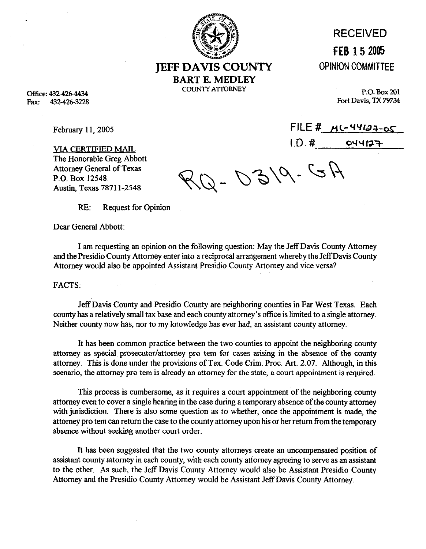

RECEIVED **FEB 15 2005**  OPINION COMMITTEE

 $FILE \# MC-44197-05$ 

**JEFF DAVIS COUNTY BART E. MEDLEY COUNTY ATTORNEY** 

**P.O. Box 201 Fort Davis, TX 79734** 

**office: 4324264434**  Fax: 432-426-3228

February 11,2005

VIA CERTIFIED MATL The Honorable Greg Abbott Attorney General of Texas P.O. Box 12548 Austin, Texas 7871 l-2548

2-0319.GA

RE: Request for Opinion

Dear General Abbott:

I am requesting an opinion on the following question: May the Jeff Davis County Attorney and the Presidio County Attorney enter into a reciprocal arrangement whereby the JeffDavis County Attorney would also be appointed Assistant Presidio County Attorney and vice versa?

FACTS:

Jeff Davis **County** and Presidio County are neighboring counties in Far West Texas. Each county has a relatively small tax base and each county attorney's office is limited to a single attorney. Neither county now has, nor to my knowledge has ever had, an assistant county attorney.

It has been common practice between the two counties to appoint the neighboring county attorney as special prosecutor/attorney pro tem for cases arising in the absence of the county attorney. This is done under the provisions of Tex. Code Grim. Proc. Art. 2.07. Although, in this scenario, the attorney pro tem is already an attorney for the state, a court appointment is required.

This process is cumbersome, as it requires a court appointment of the neighboring county attorney even to cover a single hearing in the case during a temporary absence of the county attorney with jurisdiction. There is also some question as to whether, once the appointment is made, the attorney pro tem can return the case to the county attorney upon his or her return from the temporary absence without seeking another court order.

It has been suggested that the two county attorneys create an uncompensated position of assistant county attorney in each county, with each county attorney agreeing to serve as an assistant to the other. As such, the Jeff Davis County Attorney would also be Assistant Presidio County Attorney and the Presidio County Attorney would be Assistant Jeff Davis County Attorney.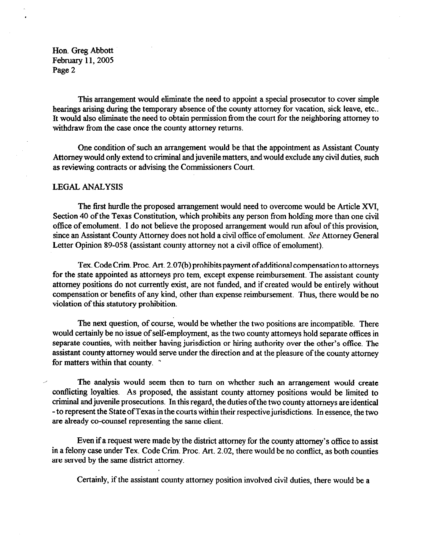Hon. Greg Abbott February 11,2005 Page 2

This arrangement would eliminate the need to appoint a special prosecutor to cover simple hearings arising during the temporary absence of the county attorney for vacation, sick leave, etc.. It would also eliminate the need to obtain permission from the court for the neighboring attorney to withdraw from the case once the county attorney returns.

One condition of such an arrangement would be that the appointment as Assistant County Attorney would only extend to criminal and juvenile matters, and would exclude any civil duties, such as reviewing contracts or advising the Commissioners Court.

## LEGAL ANALYSIS

The first hurdle the proposed arrangement would need to overcome would be Article XVI, Section 40 of the Texas Constitution, which prohibits any person from holding more than one civil office of emolument. I do not believe the proposed arrangement would run afoul of this provision, since an Assistant County Attorney does not hold a civil office of emolument. See Attorney General Letter Opinion 89-058 (assistant county attorney not a civil office of emolument).

Tex. Code Crim. Proc. Art. 2.07(b) prohibits payment of additional compensation to attorneys for the state appointed as attorneys pro tem, except expense reimbursement. The assistant county attorney positions do not currently exist, are not funded, and if created would be entirely without compensation or benefits of any kind, other than expense reimbursement. Thus, there would be no violation of this statutory prohibition.

The next question, of course, would be whether the two positions are incompatible. There would certainly be no issue of self-employment, as the two county attorneys hold separate offices in separate counties, with neither having jurisdiction or hiring authority over the other's office. The assistant county attorney would serve under the direction and at the pleasure of the county attorney for matters within that county. "

The analysis would seem then to turn on whether such an arrangement would create contlicting loyalties. As proposed, the assistant county attorney positions would be limited to criminal and juvenile prosecutions. In this regard, the duties ofthe two county attorneys are identical -to represent the State of Texas in the courts within their respective jurisdictions. In essence, the two are already co-counsel representing the same client.

Even if a request were made by the district attorney for the county attorney's office to assist in a felony case under Tex. Code Grim. Proc. Art. 2.02, there would be no contlict, as both counties are served by the same district attorney.

Certainly, if the assistant county attorney position involved civil duties, there would be a